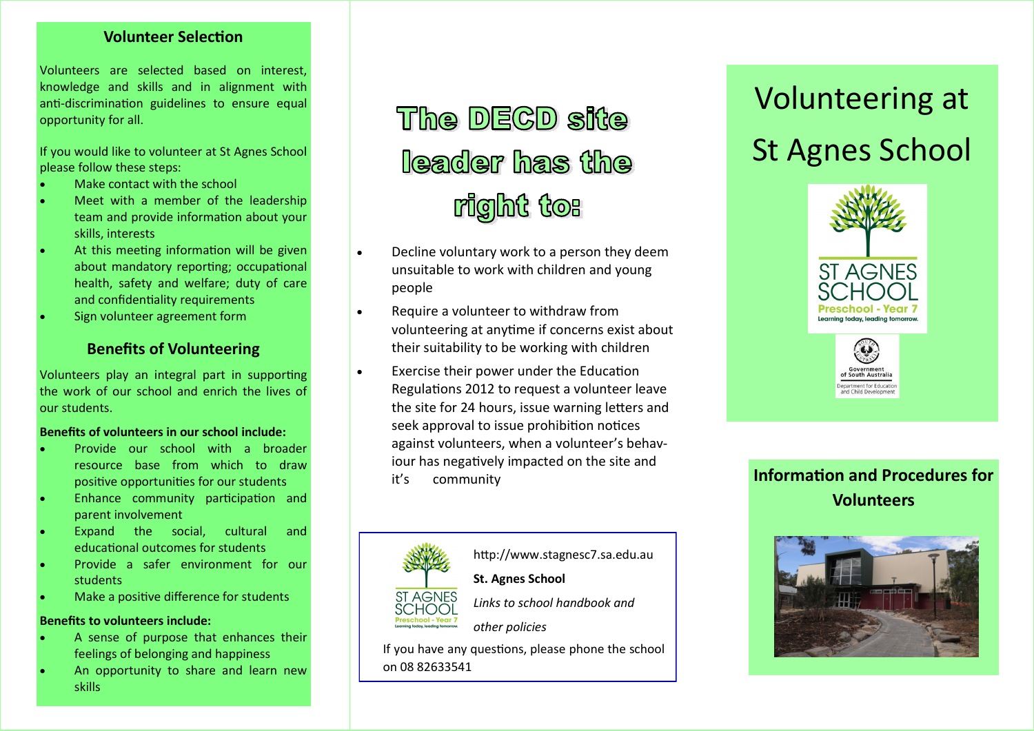### **Volunteer Selection**

Volunteers are selected based on interest, knowledge and skills and in alignment with anti-discrimination guidelines to ensure equal opportunity for all.

If you would like to volunteer at St Agnes School please follow these steps:

- Make contact with the school
- Meet with a member of the leadership team and provide information about your skills, interests
- At this meeting information will be given about mandatory reporting; occupational health, safety and welfare; duty of care and confidentiality requirements
- Sign volunteer agreement form

### **Benefits of Volunteering**

Volunteers play an integral part in supporting the work of our school and enrich the lives of our students.

#### **Benefits of volunteers in our school include:**

- Provide our school with a broader resource base from which to draw positive opportunities for our students
- Enhance community participation and parent involvement
- Expand the social, cultural and educational outcomes for students
- Provide a safer environment for our students
- Make a positive difference for students

#### **Benefits to volunteers include:**

- A sense of purpose that enhances their feelings of belonging and happiness
- An opportunity to share and learn new skills

# The DECD site **Reader has the** right to:

- Decline voluntary work to a person they deem unsuitable to work with children and young people
- Require a volunteer to withdraw from volunteering at anytime if concerns exist about their suitability to be working with children
- Exercise their power under the Education Regulations 2012 to request a volunteer leave the site for 24 hours, issue warning letters and seek approval to issue prohibition notices against volunteers, when a volunteer's behaviour has negatively impacted on the site and it's community



## http://www.stagnesc7.sa.edu.au

**St. Agnes School** *Links to school handbook and* 

*other policies*

If you have any questions, please phone the school on 08 82633541

# Volunteering at St Agnes School



and Child Devel

## **Information and Procedures for Volunteers**